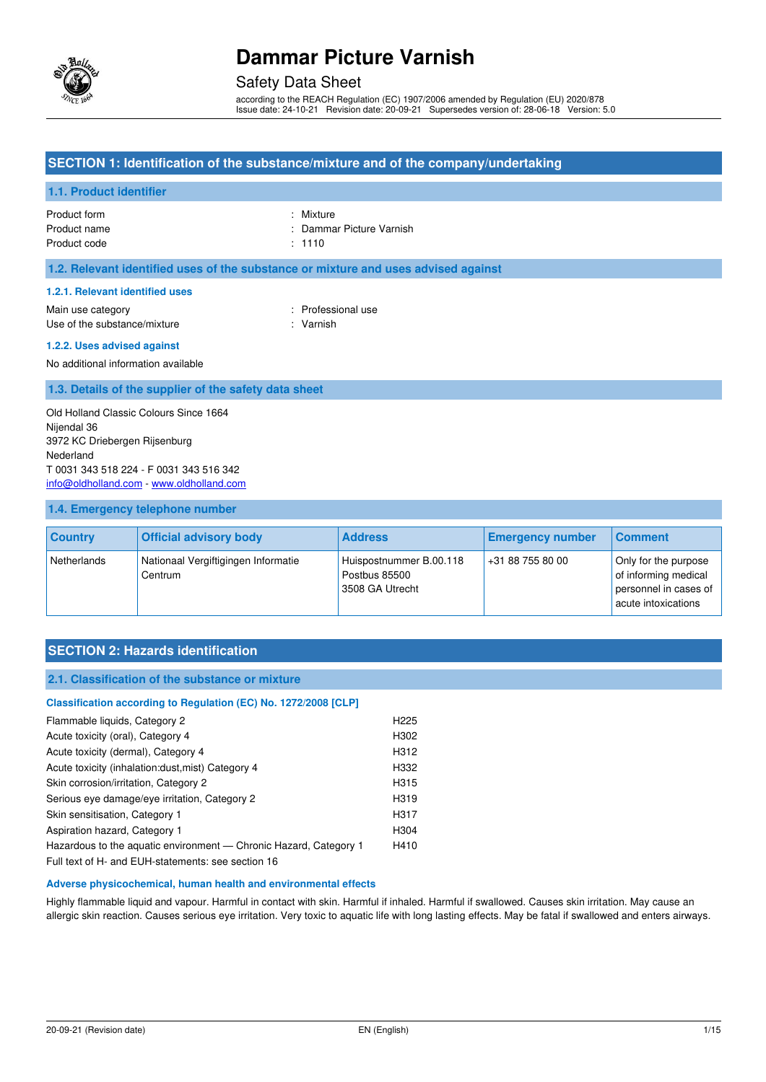

### Safety Data Sheet

according to the REACH Regulation (EC) 1907/2006 amended by Regulation (EU) 2020/878 Issue date: 24-10-21 Revision date: 20-09-21 Supersedes version of: 28-06-18 Version: 5.0

### **SECTION 1: Identification of the substance/mixture and of the company/undertaking**

### **1.1. Product identifier**

| Product form | : Mixtu |
|--------------|---------|
| Product name | : Dam   |
| Product code | : 1110  |

: Mixture : Dammar Picture Varnish

**1.2. Relevant identified uses of the substance or mixture and uses advised against** 

#### **1.2.1. Relevant identified uses**

Main use category **Example 20** and the Main use category **in the Contract Contract 20 and 10** and 10 and 10 and 10 and 10 and 10 and 10 and 10 and 10 and 10 and 10 and 10 and 10 and 10 and 10 and 10 and 10 and 10 and 10 an Use of the substance/mixture in the substance in the set of the substance of the substance in the set of the substance in the set of the substance in the set of the set of the set of the set of the set of the set of the se

#### **1.2.2. Uses advised against**

No additional information available

#### **1.3. Details of the supplier of the safety data sheet**

Old Holland Classic Colours Since 1664 Nijendal 36 3972 KC Driebergen Rijsenburg Nederland T 0031 343 518 224 - F 0031 343 516 342 [info@oldholland.com](mailto:info@oldholland.com) - [www.oldholland.com](http://www.oldholland.com/)

#### **1.4. Emergency telephone number**

| <b>Country</b> | <b>Official advisory body</b>                  | <b>Address</b>                                              | <b>Emergency number</b> | <b>Comment</b>                                                                               |
|----------------|------------------------------------------------|-------------------------------------------------------------|-------------------------|----------------------------------------------------------------------------------------------|
| Netherlands    | Nationaal Vergiftigingen Informatie<br>Centrum | Huispostnummer B.00.118<br>Postbus 85500<br>3508 GA Utrecht | +31 88 755 80 00        | Only for the purpose<br>of informing medical<br>personnel in cases of<br>acute intoxications |

### **SECTION 2: Hazards identification**

#### **2.1. Classification of the substance or mixture**

## **Classification according to Regulation (EC) No. 1272/2008 [CLP]**  Flammable liquids, Category 2 **H225** Acute toxicity (oral), Category 4 H302 Acute toxicity (dermal), Category 4 H312 Acute toxicity (inhalation:dust,mist) Category 4 H332 Skin corrosion/irritation, Category 2 H315 Serious eye damage/eye irritation, Category 2 H319 Skin sensitisation, Category 1 H317 Aspiration hazard, Category 1 H304 Hazardous to the aquatic environment - Chronic Hazard, Category 1 H410

Full text of H- and EUH-statements: see section 16

#### **Adverse physicochemical, human health and environmental effects**

Highly flammable liquid and vapour. Harmful in contact with skin. Harmful if inhaled. Harmful if swallowed. Causes skin irritation. May cause an allergic skin reaction. Causes serious eye irritation. Very toxic to aquatic life with long lasting effects. May be fatal if swallowed and enters airways.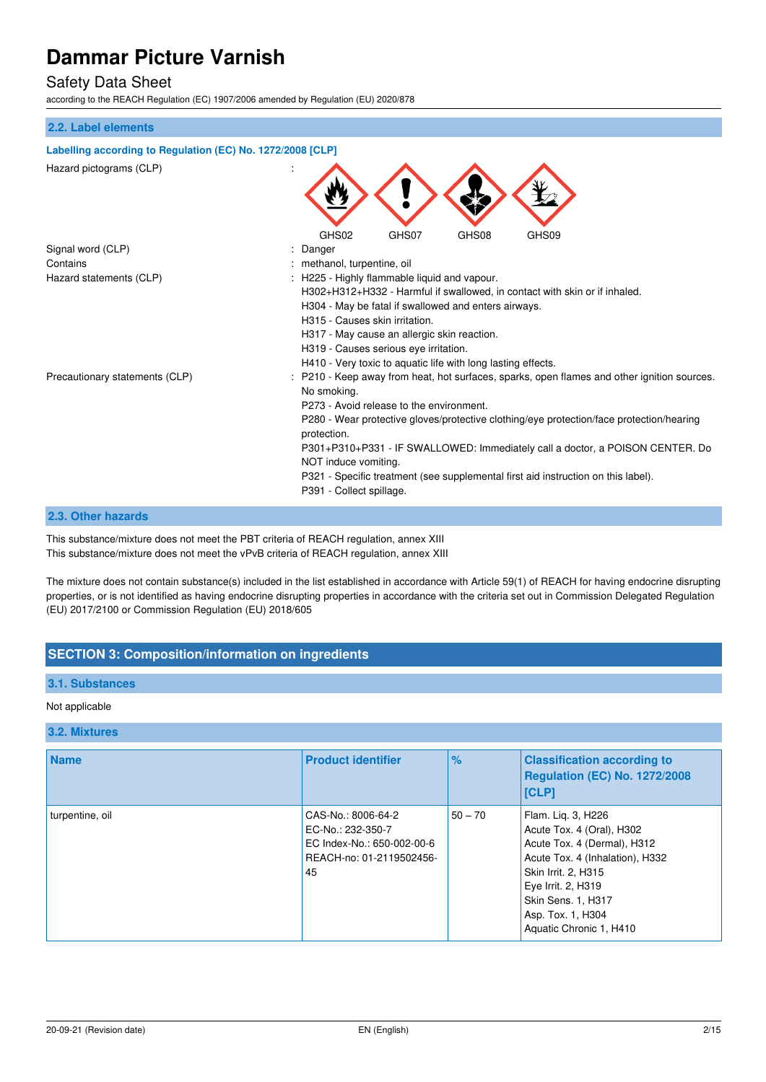## Safety Data Sheet

according to the REACH Regulation (EC) 1907/2006 amended by Regulation (EU) 2020/878

#### **2.2. Label elements**

| Labelling according to Regulation (EC) No. 1272/2008 [CLP] |                                                                                                         |
|------------------------------------------------------------|---------------------------------------------------------------------------------------------------------|
| Hazard pictograms (CLP)                                    |                                                                                                         |
| Signal word (CLP)                                          | GHS02<br>GHS08<br>GHS07<br>GHS09<br>Danger                                                              |
| Contains                                                   | methanol, turpentine, oil                                                                               |
| Hazard statements (CLP)                                    | : H225 - Highly flammable liquid and vapour.                                                            |
|                                                            | H302+H312+H332 - Harmful if swallowed, in contact with skin or if inhaled.                              |
|                                                            | H304 - May be fatal if swallowed and enters airways.                                                    |
|                                                            | H315 - Causes skin irritation.                                                                          |
|                                                            | H317 - May cause an allergic skin reaction.                                                             |
|                                                            | H319 - Causes serious eye irritation.                                                                   |
|                                                            | H410 - Very toxic to aquatic life with long lasting effects.                                            |
| Precautionary statements (CLP)                             | P210 - Keep away from heat, hot surfaces, sparks, open flames and other ignition sources.               |
|                                                            | No smoking.                                                                                             |
|                                                            | P273 - Avoid release to the environment.                                                                |
|                                                            | P280 - Wear protective gloves/protective clothing/eye protection/face protection/hearing<br>protection. |
|                                                            | P301+P310+P331 - IF SWALLOWED: Immediately call a doctor, a POISON CENTER. Do                           |
|                                                            | NOT induce vomiting.                                                                                    |
|                                                            | P321 - Specific treatment (see supplemental first aid instruction on this label).                       |
|                                                            | P391 - Collect spillage.                                                                                |
|                                                            |                                                                                                         |

#### **2.3. Other hazards**

This substance/mixture does not meet the PBT criteria of REACH regulation, annex XIII This substance/mixture does not meet the vPvB criteria of REACH regulation, annex XIII

The mixture does not contain substance(s) included in the list established in accordance with Article 59(1) of REACH for having endocrine disrupting properties, or is not identified as having endocrine disrupting properties in accordance with the criteria set out in Commission Delegated Regulation (EU) 2017/2100 or Commission Regulation (EU) 2018/605

## **SECTION 3: Composition/information on ingredients**

### **3.1. Substances**

#### Not applicable

#### **3.2. Mixtures**

| <b>Name</b>     | <b>Product identifier</b>                                                                               | $\%$      | <b>Classification according to</b><br>Regulation (EC) No. 1272/2008<br> [CLP]                                                                                                                                                        |
|-----------------|---------------------------------------------------------------------------------------------------------|-----------|--------------------------------------------------------------------------------------------------------------------------------------------------------------------------------------------------------------------------------------|
| turpentine, oil | CAS-No.: 8006-64-2<br>EC-No.: 232-350-7<br>EC Index-No.: 650-002-00-6<br>REACH-no: 01-2119502456-<br>45 | $50 - 70$ | Flam. Lig. 3, H226<br>Acute Tox. 4 (Oral), H302<br>Acute Tox. 4 (Dermal), H312<br>Acute Tox. 4 (Inhalation), H332<br>Skin Irrit. 2, H315<br>Eye Irrit. 2, H319<br>Skin Sens. 1, H317<br>Asp. Tox. 1, H304<br>Aquatic Chronic 1, H410 |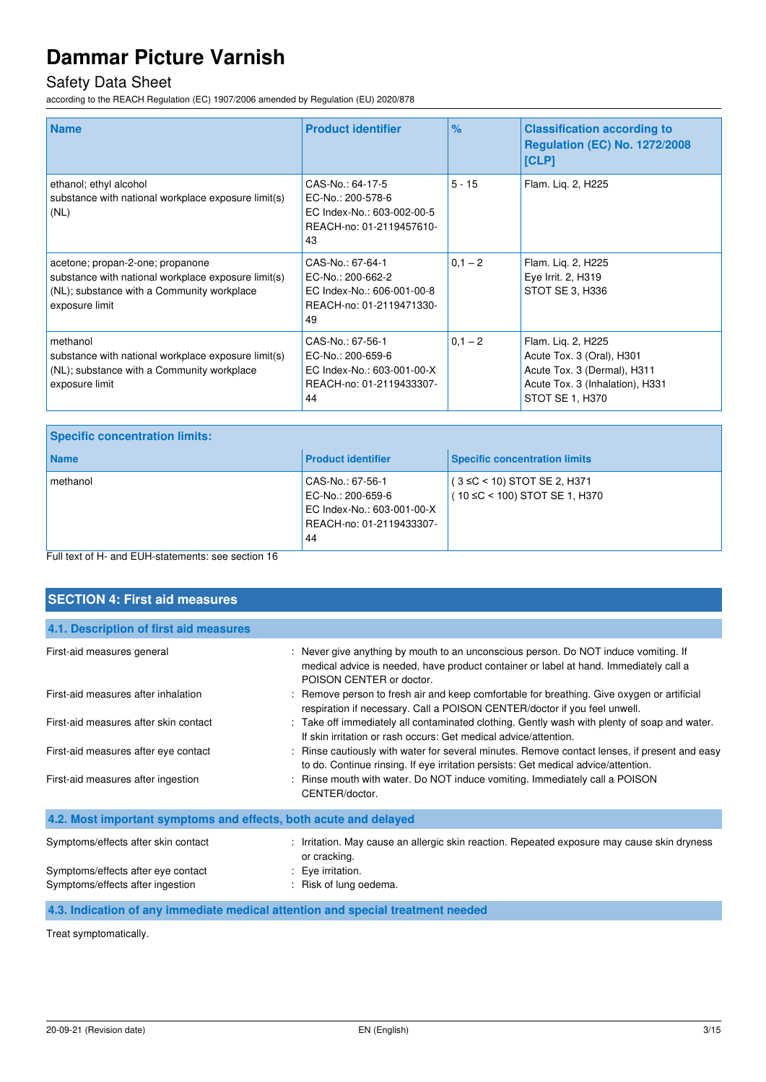## Safety Data Sheet

according to the REACH Regulation (EC) 1907/2006 amended by Regulation (EU) 2020/878

| <b>Name</b>                                                                                                                                             | <b>Product identifier</b>                                                                             | $\frac{9}{6}$ | <b>Classification according to</b><br><b>Regulation (EC) No. 1272/2008</b><br>[CLP]                                                  |
|---------------------------------------------------------------------------------------------------------------------------------------------------------|-------------------------------------------------------------------------------------------------------|---------------|--------------------------------------------------------------------------------------------------------------------------------------|
| ethanol; ethyl alcohol<br>substance with national workplace exposure limit(s)<br>(NL)                                                                   | CAS-No.: 64-17-5<br>EC-No.: 200-578-6<br>EC Index-No.: 603-002-00-5<br>REACH-no: 01-2119457610-<br>43 | $5 - 15$      | Flam. Lig. 2, H225                                                                                                                   |
| acetone; propan-2-one; propanone<br>substance with national workplace exposure limit(s)<br>(NL); substance with a Community workplace<br>exposure limit | CAS-No.: 67-64-1<br>EC-No.: 200-662-2<br>EC Index-No.: 606-001-00-8<br>REACH-no: 01-2119471330-<br>49 | $0,1 - 2$     | Flam. Liq. 2, H225<br>Eye Irrit. 2, H319<br>STOT SE 3, H336                                                                          |
| methanol<br>substance with national workplace exposure limit(s)<br>(NL); substance with a Community workplace<br>exposure limit                         | CAS-No.: 67-56-1<br>EC-No.: 200-659-6<br>EC Index-No.: 603-001-00-X<br>REACH-no: 01-2119433307-<br>44 | $0,1 - 2$     | Flam. Liq. 2, H225<br>Acute Tox. 3 (Oral), H301<br>Acute Tox. 3 (Dermal), H311<br>Acute Tox. 3 (Inhalation), H331<br>STOT SE 1, H370 |

| <b>Specific concentration limits:</b> |                                                                                                       |                                                                    |
|---------------------------------------|-------------------------------------------------------------------------------------------------------|--------------------------------------------------------------------|
| <b>Name</b>                           | <b>Product identifier</b>                                                                             | <b>Specific concentration limits</b>                               |
| methanol                              | CAS-No.: 67-56-1<br>EC-No.: 200-659-6<br>EC Index-No.: 603-001-00-X<br>REACH-no: 01-2119433307-<br>44 | $(3 \leq C < 10)$ STOT SE 2, H371<br>(10 ≤C < 100) STOT SE 1, H370 |
|                                       |                                                                                                       |                                                                    |

Full text of H- and EUH-statements: see section 16

| <b>SECTION 4: First aid measures</b>                                   |                                                                                                                                                                                                          |
|------------------------------------------------------------------------|----------------------------------------------------------------------------------------------------------------------------------------------------------------------------------------------------------|
| 4.1. Description of first aid measures                                 |                                                                                                                                                                                                          |
| First-aid measures general                                             | : Never give anything by mouth to an unconscious person. Do NOT induce vomiting. If<br>medical advice is needed, have product container or label at hand. Immediately call a<br>POISON CENTER or doctor. |
| First-aid measures after inhalation                                    | : Remove person to fresh air and keep comfortable for breathing. Give oxygen or artificial<br>respiration if necessary. Call a POISON CENTER/doctor if you feel unwell.                                  |
| First-aid measures after skin contact                                  | : Take off immediately all contaminated clothing. Gently wash with plenty of soap and water.<br>If skin irritation or rash occurs: Get medical advice/attention.                                         |
| First-aid measures after eye contact                                   | : Rinse cautiously with water for several minutes. Remove contact lenses, if present and easy<br>to do. Continue rinsing. If eye irritation persists: Get medical advice/attention.                      |
| First-aid measures after ingestion                                     | : Rinse mouth with water. Do NOT induce vomiting. Immediately call a POISON<br>CENTER/doctor.                                                                                                            |
| 4.2. Most important symptoms and effects, both acute and delayed       |                                                                                                                                                                                                          |
| Symptoms/effects after skin contact                                    | : Irritation. May cause an allergic skin reaction. Repeated exposure may cause skin dryness<br>or cracking.                                                                                              |
| Symptoms/effects after eye contact<br>Symptoms/effects after ingestion | : Eye irritation.<br>Risk of lung oedema.                                                                                                                                                                |

**4.3. Indication of any immediate medical attention and special treatment needed** 

Treat symptomatically.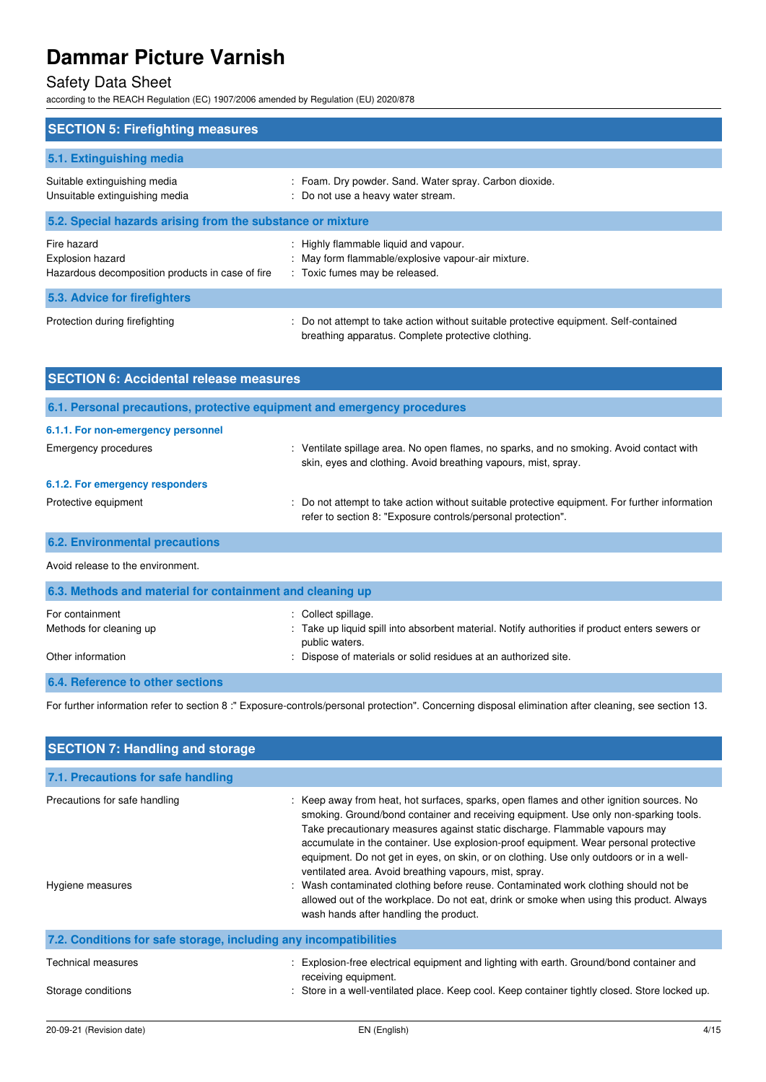## Safety Data Sheet

according to the REACH Regulation (EC) 1907/2006 amended by Regulation (EU) 2020/878

| <b>SECTION 5: Firefighting measures</b>                                             |                                                                                                                                             |  |  |
|-------------------------------------------------------------------------------------|---------------------------------------------------------------------------------------------------------------------------------------------|--|--|
|                                                                                     |                                                                                                                                             |  |  |
| 5.1. Extinguishing media                                                            |                                                                                                                                             |  |  |
| Suitable extinguishing media<br>Unsuitable extinguishing media                      | : Foam. Dry powder. Sand. Water spray. Carbon dioxide.<br>: Do not use a heavy water stream.                                                |  |  |
| 5.2. Special hazards arising from the substance or mixture                          |                                                                                                                                             |  |  |
| Fire hazard<br>Explosion hazard<br>Hazardous decomposition products in case of fire | : Highly flammable liquid and vapour.<br>: May form flammable/explosive vapour-air mixture.<br>: Toxic fumes may be released.               |  |  |
| 5.3. Advice for firefighters                                                        |                                                                                                                                             |  |  |
| Protection during firefighting                                                      | : Do not attempt to take action without suitable protective equipment. Self-contained<br>breathing apparatus. Complete protective clothing. |  |  |

| <b>SECTION 6: Accidental release measures</b>                            |                                                                                                                                                                |  |
|--------------------------------------------------------------------------|----------------------------------------------------------------------------------------------------------------------------------------------------------------|--|
| 6.1. Personal precautions, protective equipment and emergency procedures |                                                                                                                                                                |  |
| 6.1.1. For non-emergency personnel                                       |                                                                                                                                                                |  |
| Emergency procedures                                                     | : Ventilate spillage area. No open flames, no sparks, and no smoking. Avoid contact with<br>skin, eyes and clothing. Avoid breathing vapours, mist, spray.     |  |
| 6.1.2. For emergency responders                                          |                                                                                                                                                                |  |
| Protective equipment                                                     | : Do not attempt to take action without suitable protective equipment. For further information<br>refer to section 8: "Exposure controls/personal protection". |  |
| <b>6.2. Environmental precautions</b>                                    |                                                                                                                                                                |  |
| Avoid release to the environment.                                        |                                                                                                                                                                |  |

| 6.3. Methods and material for containment and cleaning up |                                                                                                                  |  |  |
|-----------------------------------------------------------|------------------------------------------------------------------------------------------------------------------|--|--|
| For containment                                           | : Collect spillage.                                                                                              |  |  |
| Methods for cleaning up                                   | : Take up liquid spill into absorbent material. Notify authorities if product enters sewers or<br>public waters. |  |  |
| Other information                                         | : Dispose of materials or solid residues at an authorized site.                                                  |  |  |
| 6.4. Reference to other sections                          |                                                                                                                  |  |  |

For further information refer to section 8 :" Exposure-controls/personal protection". Concerning disposal elimination after cleaning, see section 13.

| <b>SECTION 7: Handling and storage</b>                            |                                                                                                                                                                                                                                                                                                                                                                                                                                                                                                                                                                                                                                                                                                                                        |  |  |
|-------------------------------------------------------------------|----------------------------------------------------------------------------------------------------------------------------------------------------------------------------------------------------------------------------------------------------------------------------------------------------------------------------------------------------------------------------------------------------------------------------------------------------------------------------------------------------------------------------------------------------------------------------------------------------------------------------------------------------------------------------------------------------------------------------------------|--|--|
| 7.1. Precautions for safe handling                                |                                                                                                                                                                                                                                                                                                                                                                                                                                                                                                                                                                                                                                                                                                                                        |  |  |
| Precautions for safe handling<br>Hygiene measures                 | : Keep away from heat, hot surfaces, sparks, open flames and other ignition sources. No<br>smoking. Ground/bond container and receiving equipment. Use only non-sparking tools.<br>Take precautionary measures against static discharge. Flammable vapours may<br>accumulate in the container. Use explosion-proof equipment. Wear personal protective<br>equipment. Do not get in eyes, on skin, or on clothing. Use only outdoors or in a well-<br>ventilated area. Avoid breathing vapours, mist, spray.<br>Wash contaminated clothing before reuse. Contaminated work clothing should not be<br>allowed out of the workplace. Do not eat, drink or smoke when using this product. Always<br>wash hands after handling the product. |  |  |
| 7.2. Conditions for safe storage, including any incompatibilities |                                                                                                                                                                                                                                                                                                                                                                                                                                                                                                                                                                                                                                                                                                                                        |  |  |
| Technical measures                                                | Explosion-free electrical equipment and lighting with earth. Ground/bond container and<br>receiving equipment.                                                                                                                                                                                                                                                                                                                                                                                                                                                                                                                                                                                                                         |  |  |
| Storage conditions                                                | : Store in a well-ventilated place. Keep cool. Keep container tightly closed. Store locked up.                                                                                                                                                                                                                                                                                                                                                                                                                                                                                                                                                                                                                                         |  |  |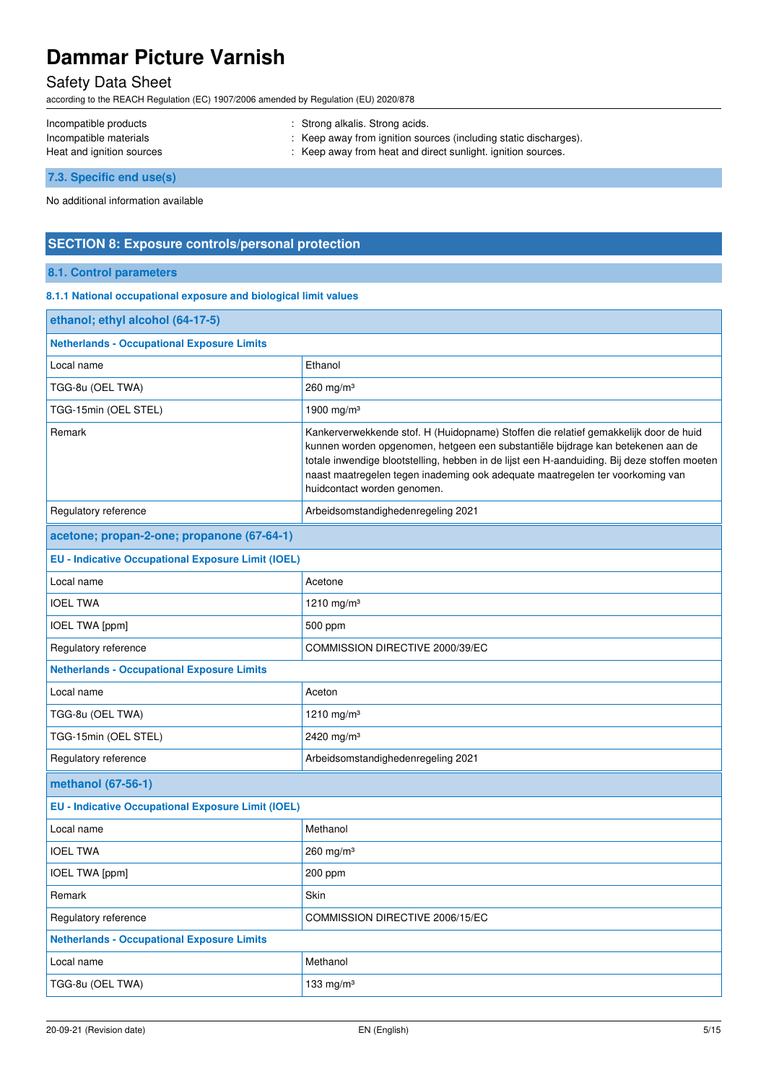## Safety Data Sheet

according to the REACH Regulation (EC) 1907/2006 amended by Regulation (EU) 2020/878

| Incompatible products     | : Strong alkalis. Strong acids.                                  |
|---------------------------|------------------------------------------------------------------|
| Incompatible materials    | : Keep away from ignition sources (including static discharges). |
| Heat and ignition sources | : Keep away from heat and direct sunlight. ignition sources.     |

**7.3. Specific end use(s)** 

No additional information available

### **SECTION 8: Exposure controls/personal protection**

### **8.1. Control parameters**

#### **8.1.1 National occupational exposure and biological limit values**

| Ethanol                                                                                                                                                                                                                                                                                                                                                                                 |  |  |  |
|-----------------------------------------------------------------------------------------------------------------------------------------------------------------------------------------------------------------------------------------------------------------------------------------------------------------------------------------------------------------------------------------|--|--|--|
| 260 mg/m $3$                                                                                                                                                                                                                                                                                                                                                                            |  |  |  |
| 1900 mg/m <sup>3</sup>                                                                                                                                                                                                                                                                                                                                                                  |  |  |  |
| Kankerverwekkende stof. H (Huidopname) Stoffen die relatief gemakkelijk door de huid<br>kunnen worden opgenomen, hetgeen een substantiële bijdrage kan betekenen aan de<br>totale inwendige blootstelling, hebben in de lijst een H-aanduiding. Bij deze stoffen moeten<br>naast maatregelen tegen inademing ook adequate maatregelen ter voorkoming van<br>huidcontact worden genomen. |  |  |  |
| Arbeidsomstandighedenregeling 2021                                                                                                                                                                                                                                                                                                                                                      |  |  |  |
|                                                                                                                                                                                                                                                                                                                                                                                         |  |  |  |
| <b>EU - Indicative Occupational Exposure Limit (IOEL)</b>                                                                                                                                                                                                                                                                                                                               |  |  |  |
| Acetone                                                                                                                                                                                                                                                                                                                                                                                 |  |  |  |
| 1210 mg/m <sup>3</sup>                                                                                                                                                                                                                                                                                                                                                                  |  |  |  |
| 500 ppm                                                                                                                                                                                                                                                                                                                                                                                 |  |  |  |
| COMMISSION DIRECTIVE 2000/39/EC                                                                                                                                                                                                                                                                                                                                                         |  |  |  |
|                                                                                                                                                                                                                                                                                                                                                                                         |  |  |  |
| Aceton                                                                                                                                                                                                                                                                                                                                                                                  |  |  |  |
| 1210 mg/m <sup>3</sup>                                                                                                                                                                                                                                                                                                                                                                  |  |  |  |
| 2420 mg/m <sup>3</sup>                                                                                                                                                                                                                                                                                                                                                                  |  |  |  |
| Arbeidsomstandighedenregeling 2021                                                                                                                                                                                                                                                                                                                                                      |  |  |  |
|                                                                                                                                                                                                                                                                                                                                                                                         |  |  |  |
| <b>EU - Indicative Occupational Exposure Limit (IOEL)</b>                                                                                                                                                                                                                                                                                                                               |  |  |  |
| Methanol                                                                                                                                                                                                                                                                                                                                                                                |  |  |  |
| 260 mg/m <sup>3</sup>                                                                                                                                                                                                                                                                                                                                                                   |  |  |  |
| 200 ppm                                                                                                                                                                                                                                                                                                                                                                                 |  |  |  |
| Skin                                                                                                                                                                                                                                                                                                                                                                                    |  |  |  |
| COMMISSION DIRECTIVE 2006/15/EC                                                                                                                                                                                                                                                                                                                                                         |  |  |  |
| <b>Netherlands - Occupational Exposure Limits</b>                                                                                                                                                                                                                                                                                                                                       |  |  |  |
| Methanol                                                                                                                                                                                                                                                                                                                                                                                |  |  |  |
| 133 mg/m $3$                                                                                                                                                                                                                                                                                                                                                                            |  |  |  |
|                                                                                                                                                                                                                                                                                                                                                                                         |  |  |  |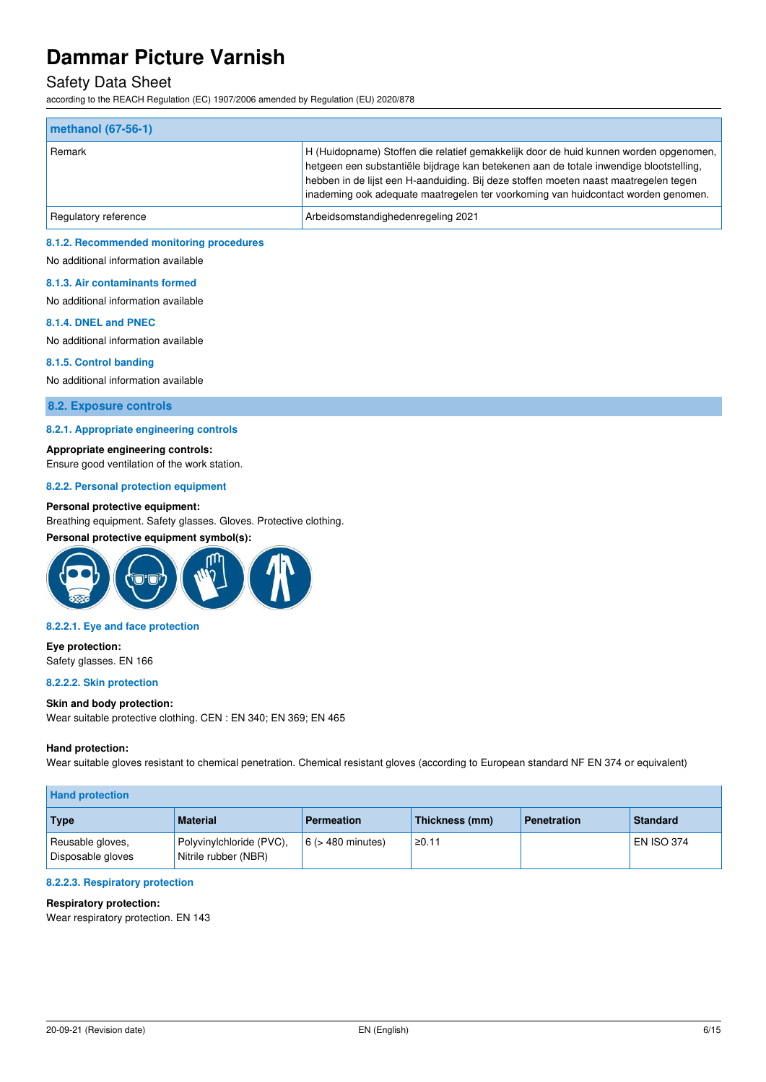### Safety Data Sheet

according to the REACH Regulation (EC) 1907/2006 amended by Regulation (EU) 2020/878

| $ $ methanol $(67-56-1)$ |                                                                                                                                                                                                                                                                                                                                                              |
|--------------------------|--------------------------------------------------------------------------------------------------------------------------------------------------------------------------------------------------------------------------------------------------------------------------------------------------------------------------------------------------------------|
| Remark                   | H (Huidopname) Stoffen die relatief gemakkelijk door de huid kunnen worden opgenomen,<br>hetgeen een substantiële bijdrage kan betekenen aan de totale inwendige blootstelling,<br>hebben in de lijst een H-aanduiding. Bij deze stoffen moeten naast maatregelen tegen<br>inademing ook adequate maatregelen ter voorkoming van huidcontact worden genomen. |
| Regulatory reference     | Arbeidsomstandighedenregeling 2021                                                                                                                                                                                                                                                                                                                           |

#### **8.1.2. Recommended monitoring procedures**

No additional information available

#### **8.1.3. Air contaminants formed**

No additional information available

#### **8.1.4. DNEL and PNEC**

No additional information available

#### **8.1.5. Control banding**

No additional information available

#### **8.2. Exposure controls**

#### **8.2.1. Appropriate engineering controls**

**Appropriate engineering controls:** 

Ensure good ventilation of the work station.

#### **8.2.2. Personal protection equipment**

#### **Personal protective equipment:**

Breathing equipment. Safety glasses. Gloves. Protective clothing.

#### **Personal protective equipment symbol(s):**



#### **8.2.2.1. Eye and face protection**

**Eye protection:**  Safety glasses. EN 166

#### **8.2.2.2. Skin protection**

#### **Skin and body protection:**

Wear suitable protective clothing. CEN : EN 340; EN 369; EN 465

#### **Hand protection:**

Wear suitable gloves resistant to chemical penetration. Chemical resistant gloves (according to European standard NF EN 374 or equivalent)

| <b>Hand protection</b>                |                                                  |                        |                |                    |                   |
|---------------------------------------|--------------------------------------------------|------------------------|----------------|--------------------|-------------------|
| Type                                  | <b>Material</b>                                  | <b>Permeation</b>      | Thickness (mm) | <b>Penetration</b> | <b>Standard</b>   |
| Reusable gloves,<br>Disposable gloves | Polyvinylchloride (PVC),<br>Nitrile rubber (NBR) | $6$ ( $>$ 480 minutes) | ≥0.11          |                    | <b>EN ISO 374</b> |

#### **8.2.2.3. Respiratory protection**

#### **Respiratory protection:**

Wear respiratory protection. EN 143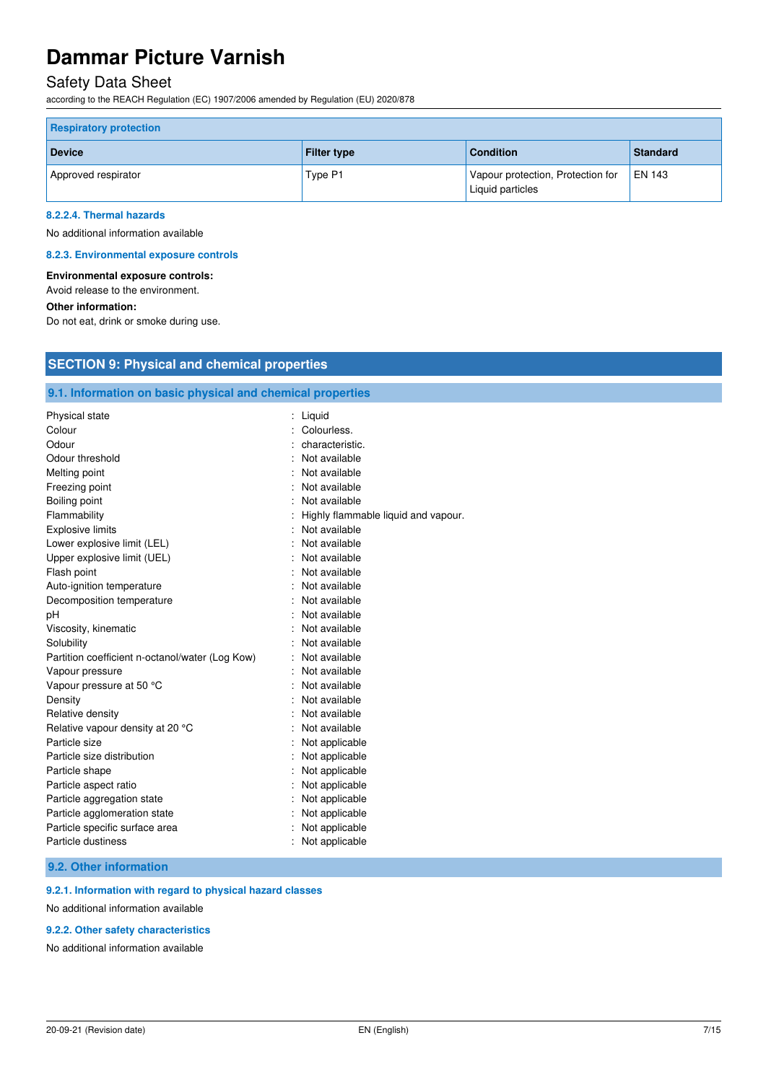## Safety Data Sheet

according to the REACH Regulation (EC) 1907/2006 amended by Regulation (EU) 2020/878

| <b>Respiratory protection</b> |                    |                                                       |                |  |
|-------------------------------|--------------------|-------------------------------------------------------|----------------|--|
| <b>Device</b>                 | <b>Filter type</b> | <b>Condition</b>                                      | Standard       |  |
| Approved respirator           | Type P1            | Vapour protection, Protection for<br>Liquid particles | <b>LEN 143</b> |  |

#### **8.2.2.4. Thermal hazards**

No additional information available

#### **8.2.3. Environmental exposure controls**

#### **Environmental exposure controls:**

Avoid release to the environment.

#### **Other information:**

Do not eat, drink or smoke during use.

## **SECTION 9: Physical and chemical properties**

## **9.1. Information on basic physical and chemical properties**

| <b>Physical state</b>                           | Liquid                              |
|-------------------------------------------------|-------------------------------------|
| Colour                                          | Colourless.                         |
| Odour                                           | characteristic.                     |
| Odour threshold                                 | Not available                       |
| Melting point                                   | Not available                       |
| Freezing point                                  | Not available                       |
| Boiling point                                   | Not available                       |
| Flammability                                    | Highly flammable liquid and vapour. |
| <b>Explosive limits</b>                         | Not available                       |
| Lower explosive limit (LEL)                     | Not available                       |
| Upper explosive limit (UEL)                     | Not available                       |
| Flash point                                     | Not available                       |
| Auto-ignition temperature                       | Not available                       |
| Decomposition temperature                       | Not available                       |
| pH                                              | Not available                       |
| Viscosity, kinematic                            | Not available                       |
| Solubility                                      | Not available                       |
| Partition coefficient n-octanol/water (Log Kow) | Not available                       |
| Vapour pressure                                 | Not available                       |
| Vapour pressure at 50 °C                        | Not available                       |
| Density                                         | Not available                       |
| Relative density                                | Not available                       |
| Relative vapour density at 20 °C                | Not available                       |
| Particle size                                   | Not applicable                      |
| Particle size distribution                      | Not applicable                      |
| Particle shape                                  | Not applicable                      |
| Particle aspect ratio                           | Not applicable                      |
| Particle aggregation state                      | Not applicable                      |
| Particle agglomeration state                    | Not applicable                      |
| Particle specific surface area                  | Not applicable                      |
| Particle dustiness                              | Not applicable                      |

#### **9.2. Other information**

#### **9.2.1. Information with regard to physical hazard classes**

No additional information available

#### **9.2.2. Other safety characteristics**

No additional information available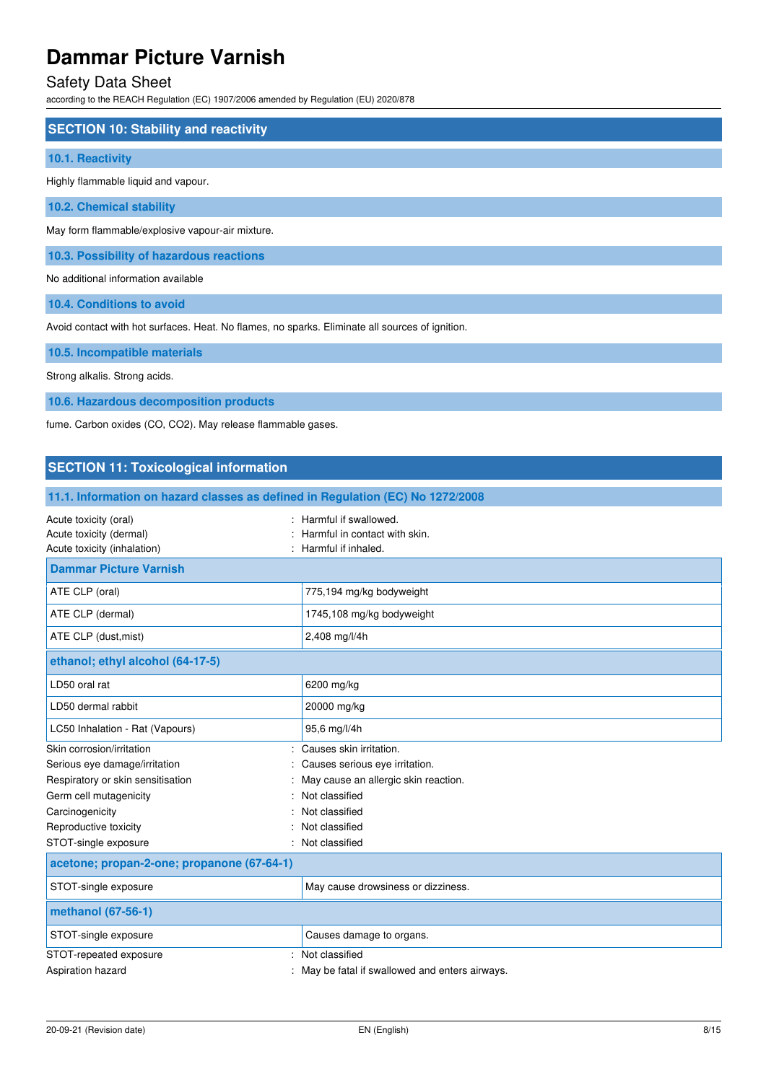## Safety Data Sheet

according to the REACH Regulation (EC) 1907/2006 amended by Regulation (EU) 2020/878

### **SECTION 10: Stability and reactivity**

#### **10.1. Reactivity**

Highly flammable liquid and vapour.

**10.2. Chemical stability** 

May form flammable/explosive vapour-air mixture.

**10.3. Possibility of hazardous reactions** 

No additional information available

**10.4. Conditions to avoid** 

Avoid contact with hot surfaces. Heat. No flames, no sparks. Eliminate all sources of ignition.

#### **10.5. Incompatible materials**

Strong alkalis. Strong acids.

**10.6. Hazardous decomposition products** 

fume. Carbon oxides (CO, CO2). May release flammable gases.

### **SECTION 11: Toxicological information**

| 11.1. Information on hazard classes as defined in Regulation (EC) No 1272/2008  |                                                                               |
|---------------------------------------------------------------------------------|-------------------------------------------------------------------------------|
| Acute toxicity (oral)<br>Acute toxicity (dermal)<br>Acute toxicity (inhalation) | Harmful if swallowed.<br>Harmful in contact with skin.<br>Harmful if inhaled. |
| <b>Dammar Picture Varnish</b>                                                   |                                                                               |
| ATE CLP (oral)                                                                  | 775,194 mg/kg bodyweight                                                      |
| ATE CLP (dermal)                                                                | 1745,108 mg/kg bodyweight                                                     |
| ATE CLP (dust, mist)                                                            | 2,408 mg/l/4h                                                                 |
| ethanol; ethyl alcohol (64-17-5)                                                |                                                                               |
| LD50 oral rat                                                                   | 6200 mg/kg                                                                    |
| LD50 dermal rabbit                                                              | 20000 mg/kg                                                                   |
| LC50 Inhalation - Rat (Vapours)                                                 | 95,6 mg/l/4h                                                                  |
| Skin corrosion/irritation                                                       | Causes skin irritation.                                                       |
| Serious eye damage/irritation                                                   | Causes serious eye irritation.                                                |
| Respiratory or skin sensitisation                                               | May cause an allergic skin reaction.                                          |
| Germ cell mutagenicity                                                          | Not classified                                                                |
| Carcinogenicity                                                                 | Not classified                                                                |
| Reproductive toxicity                                                           | Not classified                                                                |
| STOT-single exposure                                                            | Not classified                                                                |
| acetone; propan-2-one; propanone (67-64-1)                                      |                                                                               |
| STOT-single exposure                                                            | May cause drowsiness or dizziness.                                            |
| methanol (67-56-1)                                                              |                                                                               |
| STOT-single exposure                                                            | Causes damage to organs.                                                      |
| STOT-repeated exposure                                                          | Not classified                                                                |
| Aspiration hazard                                                               | May be fatal if swallowed and enters airways.                                 |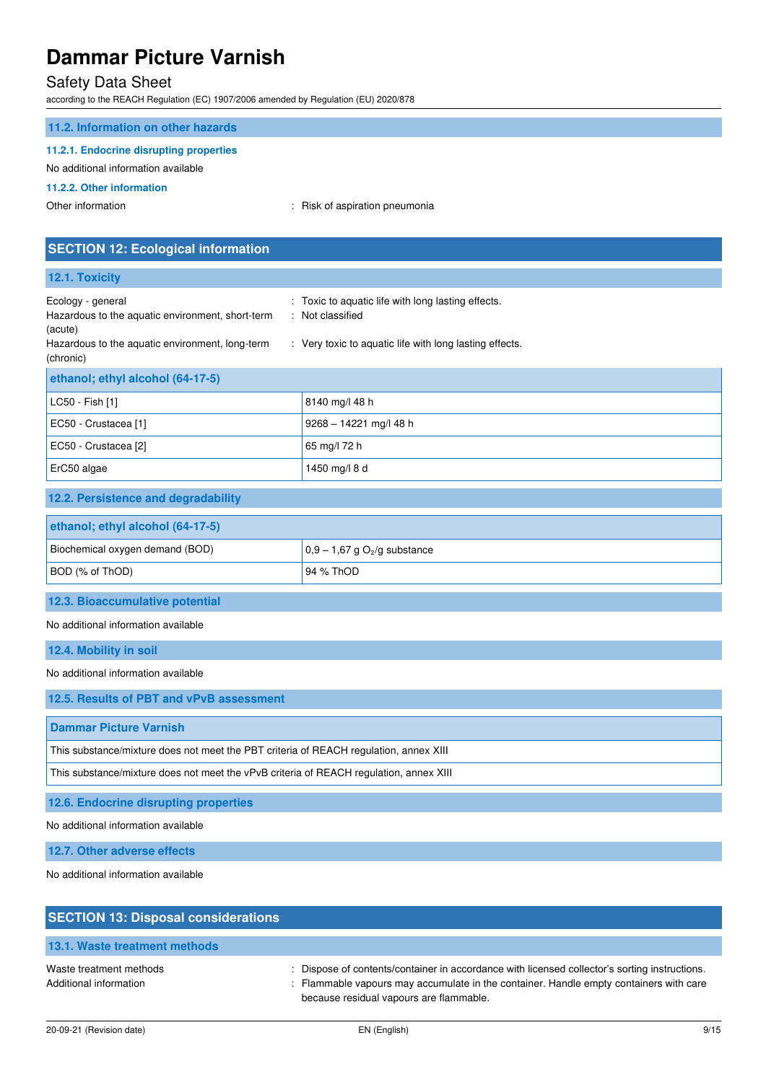### Safety Data Sheet

according to the REACH Regulation (EC) 1907/2006 amended by Regulation (EU) 2020/878

#### **11.2. Information on other hazards**

#### **11.2.1. Endocrine disrupting properties**

#### No additional information available

#### **11.2.2. Other information**

Other information  $\qquad \qquad$ : Risk of aspiration pneumonia

## **SECTION 12: Ecological information 12.1. Toxicity**  Ecology - general **Ecology** - general  $\cdot$  Toxic to aquatic life with long lasting effects. Hazardous to the aquatic environment, short-term (acute) : Not classified Hazardous to the aquatic environment, long-term (chronic) : Very toxic to aquatic life with long lasting effects. **ethanol; ethyl alcohol (64-17-5)** LC50 - Fish [1] 8140 mg/l 48 h EC50 - Crustacea [1] 9268 – 14221 mg/l 48 h EC50 - Crustacea [2] 65 mg/l 72 h ErC50 algae 1450 mg/l 8 d **12.2. Persistence and degradability ethanol; ethyl alcohol (64-17-5)** Biochemical oxygen demand (BOD)  $\Big| 0,9 - 1,67 \text{ g } O_2$ /g substance BOD (% of ThOD) 94 % ThOD **12.3. Bioaccumulative potential**  No additional information available **12.4. Mobility in soil**  No additional information available **12.5. Results of PBT and vPvB assessment Dammar Picture Varnish**  This substance/mixture does not meet the PBT criteria of REACH regulation, annex XIII This substance/mixture does not meet the vPvB criteria of REACH regulation, annex XIII **12.6. Endocrine disrupting properties**  No additional information available **12.7. Other adverse effects**  No additional information available

| <b>SECTION 13: Disposal considerations</b>        |                                                                                                                                                                                                                                    |
|---------------------------------------------------|------------------------------------------------------------------------------------------------------------------------------------------------------------------------------------------------------------------------------------|
| 13.1. Waste treatment methods                     |                                                                                                                                                                                                                                    |
| Waste treatment methods<br>Additional information | : Dispose of contents/container in accordance with licensed collector's sorting instructions.<br>: Flammable vapours may accumulate in the container. Handle empty containers with care<br>because residual vapours are flammable. |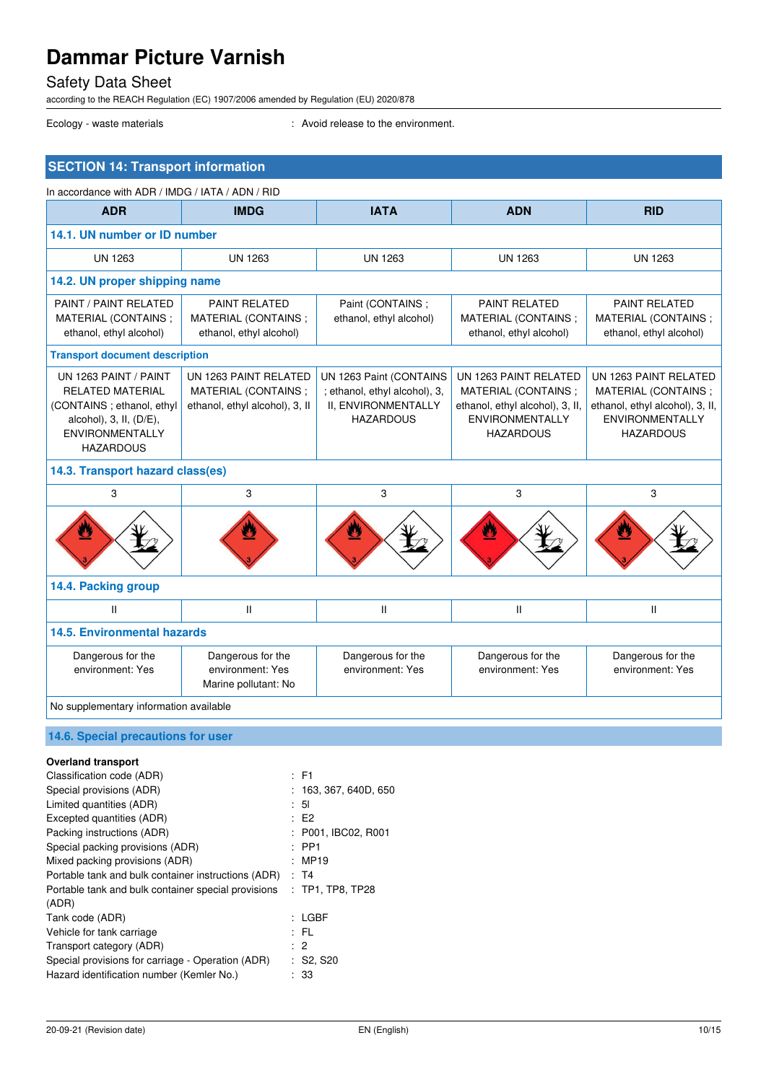Safety Data Sheet

according to the REACH Regulation (EC) 1907/2006 amended by Regulation (EU) 2020/878

Ecology - waste materials **Ecology** - waste materials **interval** : Avoid release to the environment.

| <b>SECTION 14: Transport information</b>                                                                                                               |                                                                                |                                                                                                     |                                                                                                                               |                                                                                                                               |
|--------------------------------------------------------------------------------------------------------------------------------------------------------|--------------------------------------------------------------------------------|-----------------------------------------------------------------------------------------------------|-------------------------------------------------------------------------------------------------------------------------------|-------------------------------------------------------------------------------------------------------------------------------|
| In accordance with ADR / IMDG / IATA / ADN / RID                                                                                                       |                                                                                |                                                                                                     |                                                                                                                               |                                                                                                                               |
| <b>ADR</b>                                                                                                                                             | <b>IMDG</b>                                                                    | <b>IATA</b>                                                                                         | <b>ADN</b>                                                                                                                    | <b>RID</b>                                                                                                                    |
| 14.1. UN number or ID number                                                                                                                           |                                                                                |                                                                                                     |                                                                                                                               |                                                                                                                               |
| <b>UN 1263</b>                                                                                                                                         | <b>UN 1263</b>                                                                 | <b>UN 1263</b>                                                                                      | <b>UN 1263</b>                                                                                                                | <b>UN 1263</b>                                                                                                                |
| 14.2. UN proper shipping name                                                                                                                          |                                                                                |                                                                                                     |                                                                                                                               |                                                                                                                               |
| PAINT / PAINT RELATED<br>MATERIAL (CONTAINS:<br>ethanol, ethyl alcohol)                                                                                | <b>PAINT RELATED</b><br>MATERIAL (CONTAINS :<br>ethanol, ethyl alcohol)        | Paint (CONTAINS;<br>ethanol, ethyl alcohol)                                                         | <b>PAINT RELATED</b><br>MATERIAL (CONTAINS ;<br>ethanol, ethyl alcohol)                                                       | <b>PAINT RELATED</b><br>MATERIAL (CONTAINS:<br>ethanol, ethyl alcohol)                                                        |
| <b>Transport document description</b>                                                                                                                  |                                                                                |                                                                                                     |                                                                                                                               |                                                                                                                               |
| UN 1263 PAINT / PAINT<br><b>RELATED MATERIAL</b><br>(CONTAINS; ethanol, ethyl<br>alcohol), 3, II, (D/E),<br><b>ENVIRONMENTALLY</b><br><b>HAZARDOUS</b> | UN 1263 PAINT RELATED<br>MATERIAL (CONTAINS;<br>ethanol, ethyl alcohol), 3, II | UN 1263 Paint (CONTAINS<br>; ethanol, ethyl alcohol), 3,<br>II, ENVIRONMENTALLY<br><b>HAZARDOUS</b> | UN 1263 PAINT RELATED<br>MATERIAL (CONTAINS;<br>ethanol, ethyl alcohol), 3, II,<br><b>ENVIRONMENTALLY</b><br><b>HAZARDOUS</b> | UN 1263 PAINT RELATED<br>MATERIAL (CONTAINS;<br>ethanol, ethyl alcohol), 3, II,<br><b>ENVIRONMENTALLY</b><br><b>HAZARDOUS</b> |
| 14.3. Transport hazard class(es)                                                                                                                       |                                                                                |                                                                                                     |                                                                                                                               |                                                                                                                               |
| 3                                                                                                                                                      | 3                                                                              | 3                                                                                                   | 3                                                                                                                             | 3                                                                                                                             |
| U                                                                                                                                                      |                                                                                |                                                                                                     |                                                                                                                               |                                                                                                                               |
| 14.4. Packing group                                                                                                                                    |                                                                                |                                                                                                     |                                                                                                                               |                                                                                                                               |
| $\mathbf{H}$                                                                                                                                           | $\mathbf{II}$                                                                  | $\mathsf{II}$                                                                                       | $\mathsf{I}$                                                                                                                  | Ш                                                                                                                             |
| <b>14.5. Environmental hazards</b>                                                                                                                     |                                                                                |                                                                                                     |                                                                                                                               |                                                                                                                               |
| Dangerous for the<br>environment: Yes                                                                                                                  | Dangerous for the<br>environment: Yes<br>Marine pollutant: No                  | Dangerous for the<br>environment: Yes                                                               | Dangerous for the<br>environment: Yes                                                                                         | Dangerous for the<br>environment: Yes                                                                                         |
| No supplementary information available                                                                                                                 |                                                                                |                                                                                                     |                                                                                                                               |                                                                                                                               |
| 14.6. Special precautions for user                                                                                                                     |                                                                                |                                                                                                     |                                                                                                                               |                                                                                                                               |
| <b>Overland transport</b>                                                                                                                              |                                                                                |                                                                                                     |                                                                                                                               |                                                                                                                               |
| Classification code (ADR)                                                                                                                              | $E = F1$                                                                       |                                                                                                     |                                                                                                                               |                                                                                                                               |
| Special provisions (ADR)<br>Limited quantities (ADR)                                                                                                   | 5 <sub>l</sub><br>$\ddot{\cdot}$                                               | : 163, 367, 640D, 650                                                                               |                                                                                                                               |                                                                                                                               |

(ADR)

Excepted quantities (ADR) : E2

Special packing provisions (ADR) : PP1 Mixed packing provisions (ADR) : MP19 Portable tank and bulk container instructions (ADR) : T4

Packing instructions (ADR) : P001, IBC02, R001

Portable tank and bulk container special provisions : TP1, TP8, TP28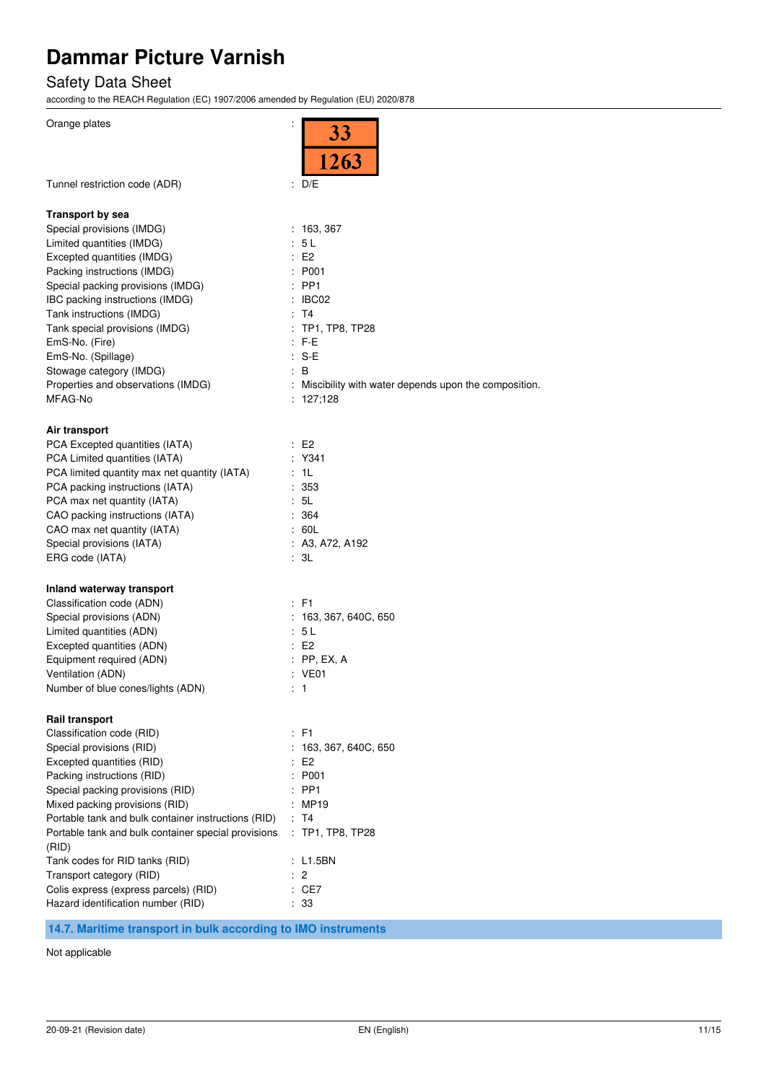## Safety Data Sheet

according to the REACH Regulation (EC) 1907/2006 amended by Regulation (EU) 2020/878

| Orange plates                                              | ÷<br>33<br>1263                                        |
|------------------------------------------------------------|--------------------------------------------------------|
| Tunnel restriction code (ADR)                              | : D/E                                                  |
| <b>Transport by sea</b>                                    |                                                        |
| Special provisions (IMDG)                                  | : 163, 367                                             |
| Limited quantities (IMDG)                                  | : 5L                                                   |
| Excepted quantities (IMDG)                                 | E2                                                     |
| Packing instructions (IMDG)                                | : P <sub>001</sub>                                     |
| Special packing provisions (IMDG)                          | $:$ PP1                                                |
| IBC packing instructions (IMDG)                            | : IBC02                                                |
| Tank instructions (IMDG)                                   | : T4<br>: TP1, TP8, TP28                               |
| Tank special provisions (IMDG)<br>EmS-No. (Fire)           | $: F-E$                                                |
| EmS-No. (Spillage)                                         | $: S-E$                                                |
| Stowage category (IMDG)                                    | ÷.<br>B                                                |
| Properties and observations (IMDG)                         | : Miscibility with water depends upon the composition. |
| MFAG-No                                                    | : 127,128                                              |
|                                                            |                                                        |
| Air transport                                              |                                                        |
| PCA Excepted quantities (IATA)                             | E2                                                     |
| PCA Limited quantities (IATA)                              | $:$ Y341                                               |
| PCA limited quantity max net quantity (IATA)               | : 1L                                                   |
| PCA packing instructions (IATA)                            | :353                                                   |
| PCA max net quantity (IATA)                                | : 5L                                                   |
| CAO packing instructions (IATA)                            | : 364<br>: 60L                                         |
| CAO max net quantity (IATA)<br>Special provisions (IATA)   | : A3, A72, A192                                        |
| ERG code (IATA)                                            | : 3L                                                   |
|                                                            |                                                        |
| Inland waterway transport                                  |                                                        |
| Classification code (ADN)                                  | $:$ F1                                                 |
| Special provisions (ADN)                                   | : 163, 367, 640C, 650                                  |
| Limited quantities (ADN)                                   | : 5 L                                                  |
| Excepted quantities (ADN)                                  | E2                                                     |
| Equipment required (ADN)                                   | $:$ PP, EX, A                                          |
| Ventilation (ADN)                                          | : VE01                                                 |
| Number of blue cones/lights (ADN)                          | : 1                                                    |
| <b>Rail transport</b>                                      |                                                        |
| Classification code (RID)                                  | : F1                                                   |
| Special provisions (RID)                                   | 163, 367, 640C, 650                                    |
| Excepted quantities (RID)                                  | : E2                                                   |
| Packing instructions (RID)                                 | : P001                                                 |
| Special packing provisions (RID)                           | $:$ PP1                                                |
| Mixed packing provisions (RID)                             | : MP19                                                 |
| Portable tank and bulk container instructions (RID)        | : T4                                                   |
| Portable tank and bulk container special provisions        | : TP1, TP8, TP28                                       |
| (RID)                                                      |                                                        |
| Tank codes for RID tanks (RID)<br>Transport category (RID) | : L1.5BN<br>$\cdot$ 2                                  |
| Colis express (express parcels) (RID)                      | : CE7                                                  |
| Hazard identification number (RID)                         | : 33                                                   |
|                                                            |                                                        |

**14.7. Maritime transport in bulk according to IMO instruments** 

Not applicable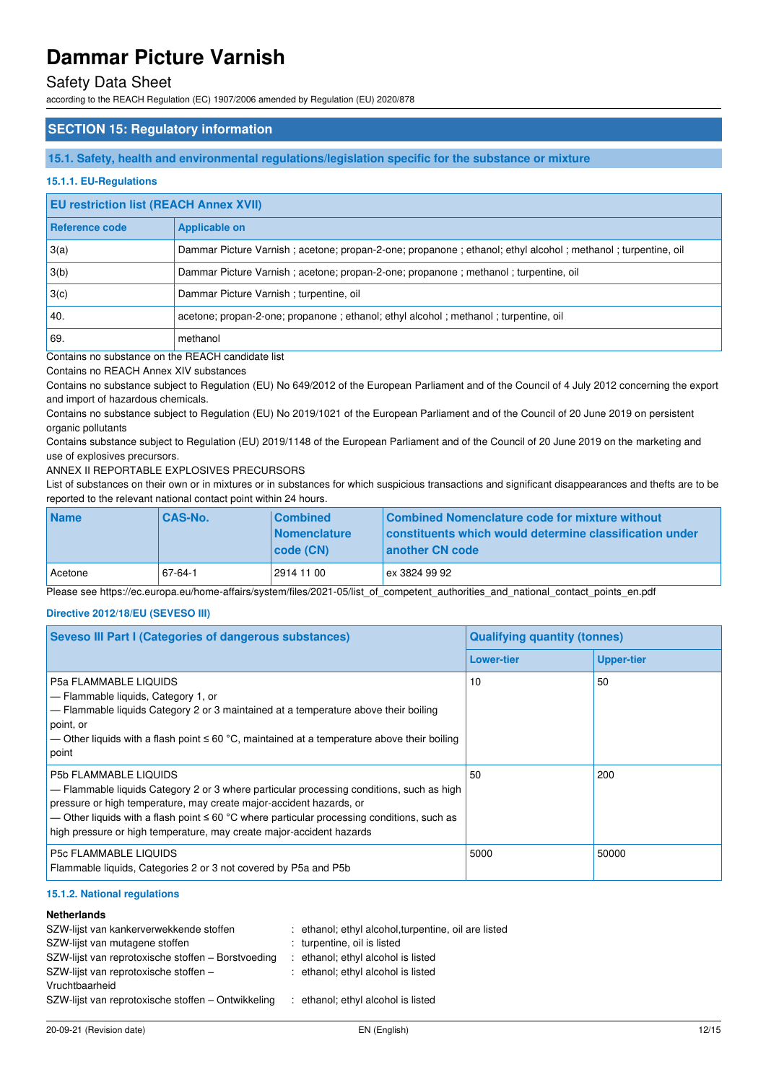### Safety Data Sheet

according to the REACH Regulation (EC) 1907/2006 amended by Regulation (EU) 2020/878

### **SECTION 15: Regulatory information**

#### **15.1. Safety, health and environmental regulations/legislation specific for the substance or mixture**

#### **15.1.1. EU-Regulations**

### **EU restriction list (REACH Annex XVII)**

| <b>Reference code</b> | <b>Applicable on</b>                                                                                        |
|-----------------------|-------------------------------------------------------------------------------------------------------------|
| 3(a)                  | Dammar Picture Varnish; acetone; propan-2-one; propanone; ethanol; ethyl alcohol; methanol; turpentine, oil |
| 3(b)                  | Dammar Picture Varnish; acetone; propan-2-one; propanone; methanol; turpentine, oil                         |
| 3(c)                  | Dammar Picture Varnish; turpentine, oil                                                                     |
| 40.                   | acetone; propan-2-one; propanone; ethanol; ethyl alcohol; methanol; turpentine, oil                         |
| 69.                   | methanol                                                                                                    |

Contains no substance on the REACH candidate list

Contains no REACH Annex XIV substances

Contains no substance subject to Regulation (EU) No 649/2012 of the European Parliament and of the Council of 4 July 2012 concerning the export and import of hazardous chemicals.

Contains no substance subject to Regulation (EU) No 2019/1021 of the European Parliament and of the Council of 20 June 2019 on persistent organic pollutants

Contains substance subject to Regulation (EU) 2019/1148 of the European Parliament and of the Council of 20 June 2019 on the marketing and use of explosives precursors.

#### ANNEX II REPORTABLE EXPLOSIVES PRECURSORS

List of substances on their own or in mixtures or in substances for which suspicious transactions and significant disappearances and thefts are to be reported to the relevant national contact point within 24 hours.

| <b>Name</b> | <b>CAS-No.</b> | <b>Combined</b>     | Combined Nomenclature code for mixture without          |
|-------------|----------------|---------------------|---------------------------------------------------------|
|             |                | <b>Nomenclature</b> | constituents which would determine classification under |
|             |                | code (CN)           | another CN code                                         |
| l Acetone   | 67-64-1        | 2914 11 00          | ex 3824 99 92                                           |

Please see https://ec.europa.eu/home-affairs/system/files/2021-05/list\_of\_competent\_authorities\_and\_national\_contact\_points\_en.pdf

#### **Directive 2012/18/EU (SEVESO III)**

| <b>Seveso III Part I (Categories of dangerous substances)</b>                                                                                                                                                                                                                                                                                                                | <b>Qualifying quantity (tonnes)</b> |                   |  |
|------------------------------------------------------------------------------------------------------------------------------------------------------------------------------------------------------------------------------------------------------------------------------------------------------------------------------------------------------------------------------|-------------------------------------|-------------------|--|
|                                                                                                                                                                                                                                                                                                                                                                              | <b>Lower-tier</b>                   | <b>Upper-tier</b> |  |
| <b>P5a FLAMMABLE LIQUIDS</b><br>$-$ Flammable liquids, Category 1, or<br>$-$ Flammable liquids Category 2 or 3 maintained at a temperature above their boiling<br>point, or<br>— Other liquids with a flash point $\leq 60$ °C, maintained at a temperature above their boiling<br>point                                                                                     | 10                                  | 50                |  |
| <b>P5b FLAMMABLE LIQUIDS</b><br>$-$ Flammable liquids Category 2 or 3 where particular processing conditions, such as high<br>pressure or high temperature, may create major-accident hazards, or<br>— Other liquids with a flash point $\leq 60$ °C where particular processing conditions, such as<br>high pressure or high temperature, may create major-accident hazards | 50                                  | 200               |  |
| <b>P5c FLAMMABLE LIQUIDS</b><br>Flammable liquids, Categories 2 or 3 not covered by P5a and P5b                                                                                                                                                                                                                                                                              | 5000                                | 50000             |  |

#### **15.1.2. National regulations**

#### **Netherlands**

| SZW-lijst van kankerverwekkende stoffen<br>SZW-lijst van mutagene stoffen<br>SZW-lijst van reprotoxische stoffen – Borstvoeding<br>SZW-lijst van reprotoxische stoffen -<br>Vruchtbaarheid | : ethanol; ethyl alcohol, turpentine, oil are listed<br>: turpentine, oil is listed<br>: ethanol; ethyl alcohol is listed<br>: ethanol; ethyl alcohol is listed |
|--------------------------------------------------------------------------------------------------------------------------------------------------------------------------------------------|-----------------------------------------------------------------------------------------------------------------------------------------------------------------|
| SZW-lijst van reprotoxische stoffen – Ontwikkeling                                                                                                                                         | ethanol; ethyl alcohol is listed                                                                                                                                |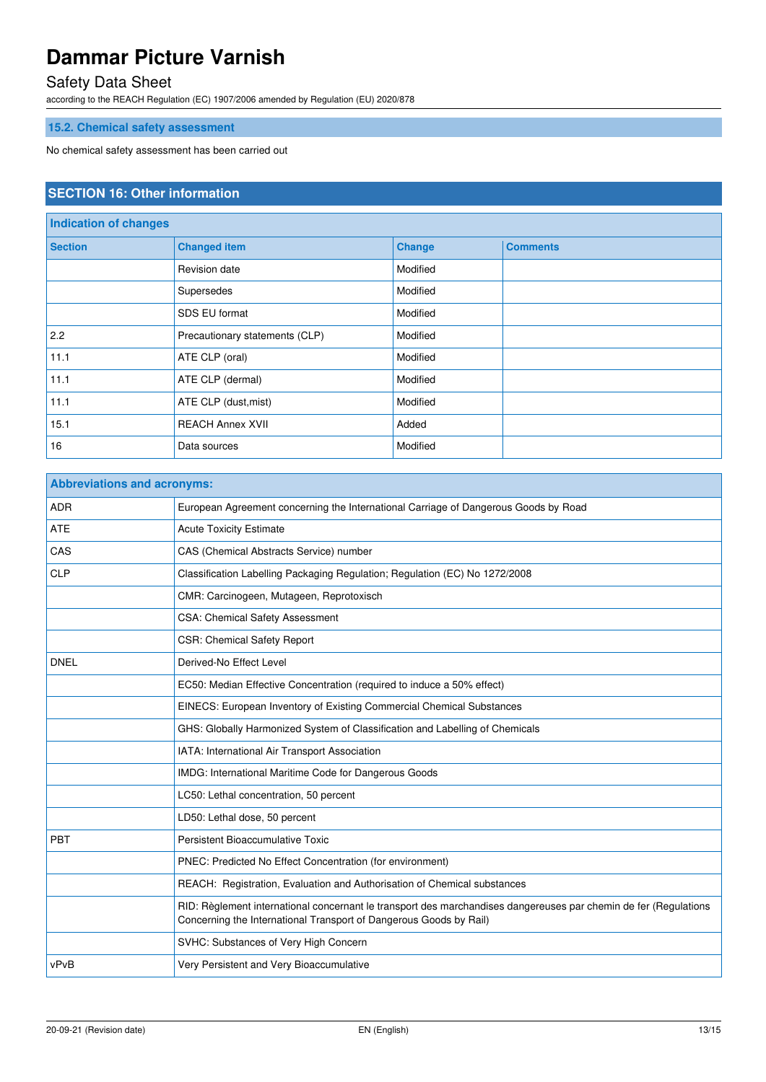## Safety Data Sheet

according to the REACH Regulation (EC) 1907/2006 amended by Regulation (EU) 2020/878

## **15.2. Chemical safety assessment**

No chemical safety assessment has been carried out

### **SECTION 16: Other information**

| Indication of changes |                                |               |                 |
|-----------------------|--------------------------------|---------------|-----------------|
| <b>Section</b>        | <b>Changed item</b>            | <b>Change</b> | <b>Comments</b> |
|                       | Revision date                  | Modified      |                 |
|                       | Supersedes                     | Modified      |                 |
|                       | SDS EU format                  | Modified      |                 |
| 2.2                   | Precautionary statements (CLP) | Modified      |                 |
| 11.1                  | ATE CLP (oral)                 | Modified      |                 |
| 11.1                  | ATE CLP (dermal)               | Modified      |                 |
| 11.1                  | ATE CLP (dust, mist)           | Modified      |                 |
| 15.1                  | <b>REACH Annex XVII</b>        | Added         |                 |
| 16                    | Data sources                   | Modified      |                 |

| <b>Abbreviations and acronyms:</b> |                                                                                                                                                                                        |  |
|------------------------------------|----------------------------------------------------------------------------------------------------------------------------------------------------------------------------------------|--|
| <b>ADR</b>                         | European Agreement concerning the International Carriage of Dangerous Goods by Road                                                                                                    |  |
| <b>ATE</b>                         | <b>Acute Toxicity Estimate</b>                                                                                                                                                         |  |
| CAS                                | CAS (Chemical Abstracts Service) number                                                                                                                                                |  |
| <b>CLP</b>                         | Classification Labelling Packaging Regulation; Regulation (EC) No 1272/2008                                                                                                            |  |
|                                    | CMR: Carcinogeen, Mutageen, Reprotoxisch                                                                                                                                               |  |
|                                    | CSA: Chemical Safety Assessment                                                                                                                                                        |  |
|                                    | <b>CSR: Chemical Safety Report</b>                                                                                                                                                     |  |
| <b>DNEL</b>                        | Derived-No Effect Level                                                                                                                                                                |  |
|                                    | EC50: Median Effective Concentration (required to induce a 50% effect)                                                                                                                 |  |
|                                    | EINECS: European Inventory of Existing Commercial Chemical Substances                                                                                                                  |  |
|                                    | GHS: Globally Harmonized System of Classification and Labelling of Chemicals                                                                                                           |  |
|                                    | IATA: International Air Transport Association                                                                                                                                          |  |
|                                    | IMDG: International Maritime Code for Dangerous Goods                                                                                                                                  |  |
|                                    | LC50: Lethal concentration, 50 percent                                                                                                                                                 |  |
|                                    | LD50: Lethal dose, 50 percent                                                                                                                                                          |  |
| PBT                                | Persistent Bioaccumulative Toxic                                                                                                                                                       |  |
|                                    | PNEC: Predicted No Effect Concentration (for environment)                                                                                                                              |  |
|                                    | REACH: Registration, Evaluation and Authorisation of Chemical substances                                                                                                               |  |
|                                    | RID: Règlement international concernant le transport des marchandises dangereuses par chemin de fer (Regulations<br>Concerning the International Transport of Dangerous Goods by Rail) |  |
|                                    | SVHC: Substances of Very High Concern                                                                                                                                                  |  |
| vPvB                               | Very Persistent and Very Bioaccumulative                                                                                                                                               |  |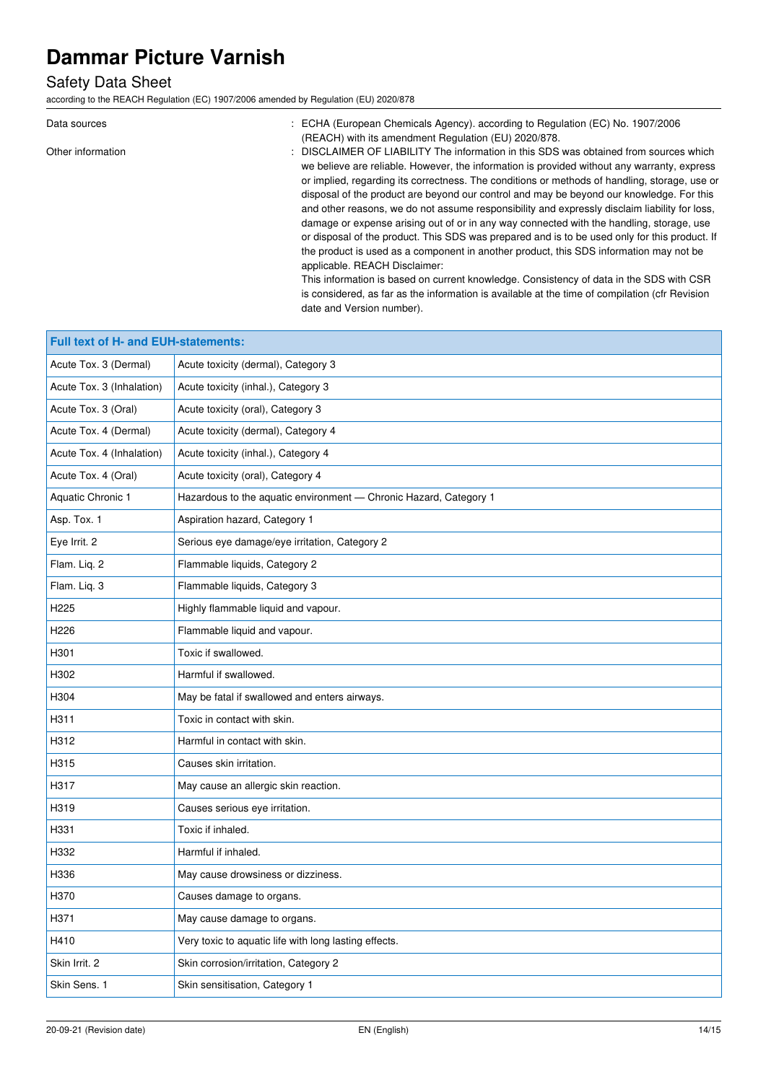## Safety Data Sheet

according to the REACH Regulation (EC) 1907/2006 amended by Regulation (EU) 2020/878

| Data sources      | ECHA (European Chemicals Agency). according to Regulation (EC) No. 1907/2006                   |
|-------------------|------------------------------------------------------------------------------------------------|
|                   | (REACH) with its amendment Regulation (EU) 2020/878.                                           |
| Other information | DISCLAIMER OF LIABILITY The information in this SDS was obtained from sources which            |
|                   | we believe are reliable. However, the information is provided without any warranty, express    |
|                   | or implied, regarding its correctness. The conditions or methods of handling, storage, use or  |
|                   | disposal of the product are beyond our control and may be beyond our knowledge. For this       |
|                   | and other reasons, we do not assume responsibility and expressly disclaim liability for loss,  |
|                   | damage or expense arising out of or in any way connected with the handling, storage, use       |
|                   | or disposal of the product. This SDS was prepared and is to be used only for this product. If  |
|                   | the product is used as a component in another product, this SDS information may not be         |
|                   | applicable. REACH Disclaimer:                                                                  |
|                   | This information is based on current knowledge. Consistency of data in the SDS with CSR        |
|                   | is considered, as far as the information is available at the time of compilation (cfr Revision |
|                   | date and Version number).                                                                      |

| Full text of H- and EUH-statements: |                                                                   |  |
|-------------------------------------|-------------------------------------------------------------------|--|
| Acute Tox. 3 (Dermal)               | Acute toxicity (dermal), Category 3                               |  |
| Acute Tox. 3 (Inhalation)           | Acute toxicity (inhal.), Category 3                               |  |
| Acute Tox. 3 (Oral)                 | Acute toxicity (oral), Category 3                                 |  |
| Acute Tox. 4 (Dermal)               | Acute toxicity (dermal), Category 4                               |  |
| Acute Tox. 4 (Inhalation)           | Acute toxicity (inhal.), Category 4                               |  |
| Acute Tox. 4 (Oral)                 | Acute toxicity (oral), Category 4                                 |  |
| Aquatic Chronic 1                   | Hazardous to the aquatic environment - Chronic Hazard, Category 1 |  |
| Asp. Tox. 1                         | Aspiration hazard, Category 1                                     |  |
| Eye Irrit. 2                        | Serious eye damage/eye irritation, Category 2                     |  |
| Flam. Liq. 2                        | Flammable liquids, Category 2                                     |  |
| Flam. Lig. 3                        | Flammable liquids, Category 3                                     |  |
| H <sub>225</sub>                    | Highly flammable liquid and vapour.                               |  |
| H <sub>226</sub>                    | Flammable liquid and vapour.                                      |  |
| H301                                | Toxic if swallowed.                                               |  |
| H302                                | Harmful if swallowed.                                             |  |
| H304                                | May be fatal if swallowed and enters airways.                     |  |
| H311                                | Toxic in contact with skin.                                       |  |
| H312                                | Harmful in contact with skin.                                     |  |
| H315                                | Causes skin irritation.                                           |  |
| H317                                | May cause an allergic skin reaction.                              |  |
| H319                                | Causes serious eye irritation.                                    |  |
| H331                                | Toxic if inhaled.                                                 |  |
| H332                                | Harmful if inhaled.                                               |  |
| H336                                | May cause drowsiness or dizziness.                                |  |
| H370                                | Causes damage to organs.                                          |  |
| H371                                | May cause damage to organs.                                       |  |
| H410                                | Very toxic to aquatic life with long lasting effects.             |  |
| Skin Irrit. 2                       | Skin corrosion/irritation, Category 2                             |  |
| Skin Sens. 1                        | Skin sensitisation, Category 1                                    |  |